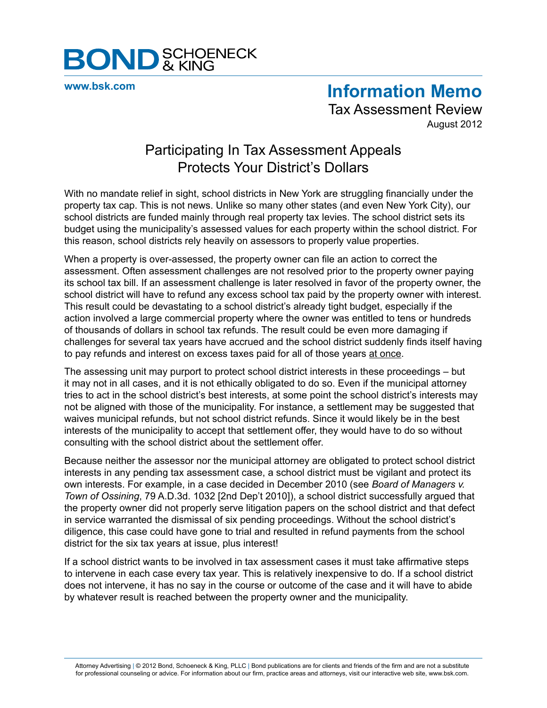

**[www.bsk.com](http://www.bsk.com/index.cfm)**

**Information Memo** Tax Assessment Review

August 2012

# Participating In Tax Assessment Appeals Protects Your District's Dollars

With no mandate relief in sight, school districts in New York are struggling financially under the property tax cap. This is not news. Unlike so many other states (and even New York City), our school districts are funded mainly through real property tax levies. The school district sets its budget using the municipality's assessed values for each property within the school district. For this reason, school districts rely heavily on assessors to properly value properties.

When a property is over-assessed, the property owner can file an action to correct the assessment. Often assessment challenges are not resolved prior to the property owner paying its school tax bill. If an assessment challenge is later resolved in favor of the property owner, the school district will have to refund any excess school tax paid by the property owner with interest. This result could be devastating to a school district's already tight budget, especially if the action involved a large commercial property where the owner was entitled to tens or hundreds of thousands of dollars in school tax refunds. The result could be even more damaging if challenges for several tax years have accrued and the school district suddenly finds itself having to pay refunds and interest on excess taxes paid for all of those years at once.

The assessing unit may purport to protect school district interests in these proceedings – but it may not in all cases, and it is not ethically obligated to do so. Even if the municipal attorney tries to act in the school district's best interests, at some point the school district's interests may not be aligned with those of the municipality. For instance, a settlement may be suggested that waives municipal refunds, but not school district refunds. Since it would likely be in the best interests of the municipality to accept that settlement offer, they would have to do so without consulting with the school district about the settlement offer.

Because neither the assessor nor the municipal attorney are obligated to protect school district interests in any pending tax assessment case, a school district must be vigilant and protect its own interests. For example, in a case decided in December 2010 (see *Board of Managers v. Town of Ossining*, 79 A.D.3d. 1032 [2nd Dep't 2010]), a school district successfully argued that the property owner did not properly serve litigation papers on the school district and that defect in service warranted the dismissal of six pending proceedings. Without the school district's diligence, this case could have gone to trial and resulted in refund payments from the school district for the six tax years at issue, plus interest!

If a school district wants to be involved in tax assessment cases it must take affirmative steps to intervene in each case every tax year. This is relatively inexpensive to do. If a school district does not intervene, it has no say in the course or outcome of the case and it will have to abide by whatever result is reached between the property owner and the municipality.